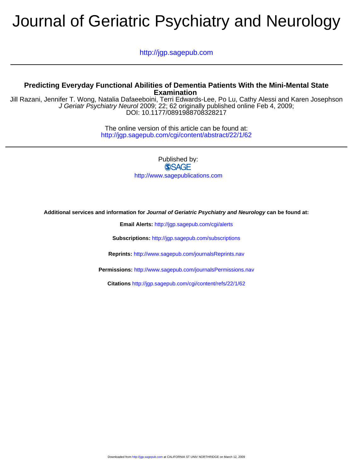# Journal of Geriatric Psychiatry and Neurology

http://jgp.sagepub.com

#### **Examination Predicting Everyday Functional Abilities of Dementia Patients With the Mini-Mental State**

DOI: 10.1177/0891988708328217 J Geriatr Psychiatry Neurol 2009; 22; 62 originally published online Feb 4, 2009; Jill Razani, Jennifer T. Wong, Natalia Dafaeeboini, Terri Edwards-Lee, Po Lu, Cathy Alessi and Karen Josephson

> http://jgp.sagepub.com/cgi/content/abstract/22/1/62 The online version of this article can be found at:

> > Published by: **SSAGE** http://www.sagepublications.com

#### **Additional services and information for Journal of Geriatric Psychiatry and Neurology can be found at:**

**Email Alerts:** <http://jgp.sagepub.com/cgi/alerts>

**Subscriptions:** <http://jgp.sagepub.com/subscriptions>

**Reprints:** <http://www.sagepub.com/journalsReprints.nav>

**Permissions:** <http://www.sagepub.com/journalsPermissions.nav>

**Citations** <http://jgp.sagepub.com/cgi/content/refs/22/1/62>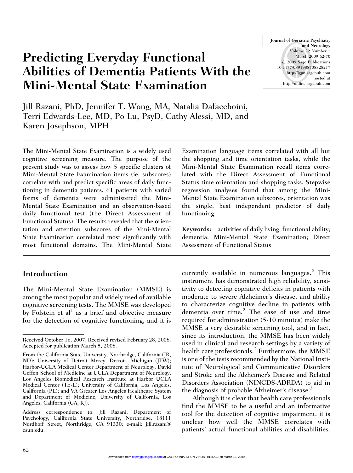# Predicting Everyday Functional Abilities of Dementia Patients With the Mini-Mental State Examination

Journal of Geriatric Psychiatry and Neurology Volume 22 Number 1 March 2009 62-70  $\circ$  2009 Sage Publications 10.1177/0891988708328217 http://jgpn.sagepub.com hosted at http://online.sagepub.com

Jill Razani, PhD, Jennifer T. Wong, MA, Natalia Dafaeeboini, Terri Edwards-Lee, MD, Po Lu, PsyD, Cathy Alessi, MD, and Karen Josephson, MPH

The Mini-Mental State Examination is a widely used cognitive screening measure. The purpose of the present study was to assess how 5 specific clusters of Mini-Mental State Examination items (ie, subscores) correlate with and predict specific areas of daily functioning in dementia patients, 61 patients with varied forms of dementia were administered the Mini-Mental State Examination and an observation-based daily functional test (the Direct Assessment of Functional Status). The results revealed that the orientation and attention subscores of the Mini-Mental State Examination correlated most significantly with most functional domains. The Mini-Mental State

# Introduction

The Mini-Mental State Examination (MMSE) is among the most popular and widely used of available cognitive screening tests. The MMSE was developed by Folstein et  $al<sup>1</sup>$  as a brief and objective measure for the detection of cognitive functioning, and it is

Examination language items correlated with all but the shopping and time orientation tasks, while the Mini-Mental State Examination recall items correlated with the Direct Assessment of Functional Status time orientation and shopping tasks. Stepwise regression analyses found that among the Mini-Mental State Examination subscores, orientation was the single, best independent predictor of daily functioning.

Keywords: activities of daily living; functional ability; dementia; Mini-Mental State Examination; Direct Assessment of Functional Status

currently available in numerous languages.<sup>2</sup> This instrument has demonstrated high reliability, sensitivity to detecting cognitive deficits in patients with moderate to severe Alzheimer's disease, and ability to characterize cognitive decline in patients with dementia over time. $^{2}$  The ease of use and time required for administration (5-10 minutes) make the MMSE a very desirable screening tool, and in fact, since its introduction, the MMSE has been widely used in clinical and research settings by a variety of health care professionals.<sup>2</sup> Furthermore, the MMSE is one of the tests recommended by the National Institute of Neurological and Communicative Disorders and Stroke and the Alzheimer's Disease and Related Disorders Association (NINCDS-ADRDA) to aid in the diagnosis of probable Alzheimer's disease.<sup>3</sup>

Although it is clear that health care professionals find the MMSE to be a useful and an informative tool for the detection of cognitive impairment, it is unclear how well the MMSE correlates with patients' actual functional abilities and disabilities.

Received October 16, 2007. Received revised February 28, 2008. Accepted for publication March 5, 2008.

From the California State University, Northridge, California (JR, ND); University of Detroit Mercy, Detroit, Michigan (JTW); Harbor-UCLA Medical Center Department of Neurology, David Geffen School of Medicine at UCLA Department of Neurology, Los Angeles Biomedical Research Institute at Harbor UCLA Medical Center (TE-L); University of California, Los Angeles, California (PL); and VA Greater Los Angeles Healthcare System and Department of Medicine, University of California, Los Angeles, California (CA, KJ).

Address correspondence to: Jill Razani, Department of Psychology, California State University, Northridge, 18111 Nordhoff Street, Northridge, CA 91330; e-mail: jill.razani@ csun.edu.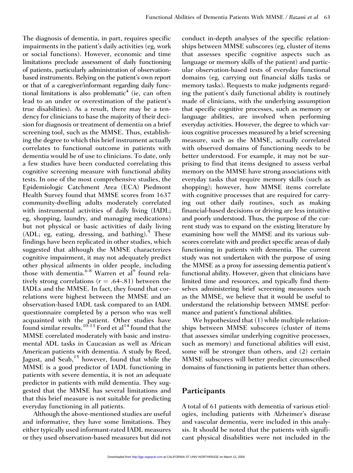The diagnosis of dementia, in part, requires specific impairments in the patient's daily activities (eg, work or social functions). However, economic and time limitations preclude assessment of daily functioning of patients, particularly administration of observationbased instruments. Relying on the patient's own report or that of a caregiver/informant regarding daily functional limitations is also problematic $4$  (ie, can often lead to an under or overestimation of the patient's true disabilities). As a result, there may be a tendency for clinicians to base the majority of their decision for diagnosis or treatment of dementia on a brief screening tool, such as the MMSE. Thus, establishing the degree to which this brief instrument actually correlates to functional outcome in patients with dementia would be of use to clinicians. To date, only a few studies have been conducted correlating this cognitive screening measure with functional ability tests. In one of the most comprehensive studies, the Epidemiologic Catchment Area (ECA) Piedmont Health Survey found that MMSE scores from 1637 community-dwelling adults moderately correlated with instrumental activities of daily living (IADL; eg, shopping, laundry, and managing medications) but not physical or basic activities of daily living (ADL; eg, eating, dressing, and bathing).<sup>5</sup> These findings have been replicated in other studies, which suggested that although the MMSE characterizes cognitive impairment, it may not adequately predict other physical ailments in older people, including those with dementia.<sup>6-8</sup> Warren et al.<sup>9</sup> found relatively strong correlations ( $r = .64-.81$ ) between the IADLs and the MMSE. In fact, they found that correlations were highest between the MMSE and an observation-based IADL task compared to an IADL questionnaire completed by a person who was well acquainted with the patient. Other studies have found similar results.<sup>10-13</sup> Ford et al<sup>14</sup> found that the MMSE correlated moderately with basic and instrumental ADL tasks in Caucasian as well as African American patients with dementia. A study by Reed, Jagust, and Seab,<sup>15</sup> however, found that while the MMSE is a good predictor of IADL functioning in patients with severe dementia, it is not an adequate predictor in patients with mild dementia. They suggested that the MMSE has several limitations and that this brief measure is not suitable for predicting everyday functioning in all patients.

Although the above-mentioned studies are useful and informative, they have some limitations. They either typically used informant-rated IADL measures or they used observation-based measures but did not

conduct in-depth analyses of the specific relationships between MMSE subscores (eg, cluster of items that assesses specific cognitive aspects such as language or memory skills of the patient) and particular observation-based tests of everyday functional domains (eg, carrying out financial skills tasks or memory tasks). Requests to make judgments regarding the patient's daily functional ability is routinely made of clinicians, with the underlying assumption that specific cognitive processes, such as memory or language abilities, are involved when performing everyday activities. However, the degree to which various cognitive processes measured by a brief screening measure, such as the MMSE, actually correlated with observed domains of functioning needs to be better understood. For example, it may not be surprising to find that items designed to assess verbal memory on the MMSE have strong associations with everyday tasks that require memory skills (such as shopping); however, how MMSE items correlate with cognitive processes that are required for carrying out other daily routines, such as making financial-based decisions or driving are less intuitive and poorly understood. Thus, the purpose of the current study was to expand on the existing literature by examining how well the MMSE and its various subscores correlate with and predict specific areas of daily functioning in patients with dementia. The current study was not undertaken with the purpose of using the MMSE as a proxy for assessing dementia patient's functional ability. However, given that clinicians have limited time and resources, and typically find themselves administering brief screening measures such as the MMSE, we believe that it would be useful to understand the relationship between MMSE performance and patient's functional abilities.

We hypothesized that (1) while multiple relationships between MMSE subscores (cluster of items that assesses similar underlying cognitive processes, such as memory) and functional abilities will exist, some will be stronger than others, and (2) certain MMSE subscores will better predict circumscribed domains of functioning in patients better than others.

#### **Participants**

A total of 61 patients with dementia of various etiologies, including patients with Alzheimer's disease and vascular dementia, were included in this analysis. It should be noted that the patients with significant physical disabilities were not included in the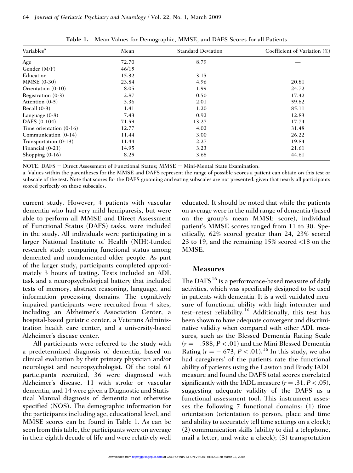| Variables <sup>a</sup>    |       | <b>Standard Deviation</b> | Coefficient of Variation (%) |  |
|---------------------------|-------|---------------------------|------------------------------|--|
|                           | Mean  |                           |                              |  |
| Age                       | 72.70 | 8.79                      |                              |  |
| Gender (M/F)              | 46/15 |                           |                              |  |
| Education                 | 15.32 | 3.15                      |                              |  |
| <b>MMSE</b> (0-30)        | 23.84 | 4.96                      | 20.81                        |  |
| Orientation (0-10)        | 8.05  | 1.99                      | 24.72                        |  |
| Registration (0-3)        | 2.87  | 0.50                      | 17.42                        |  |
| Attention $(0-5)$         | 3.36  | 2.01                      | 59.82                        |  |
| Recall $(0-3)$            | 1.41  | 1.20                      | 85.11                        |  |
| Language $(0-8)$          | 7.43  | 0.92                      | 12.83                        |  |
| DAFS (0-104)              | 71.59 | 13.27                     | 17.74                        |  |
| Time orientation $(0-16)$ | 12.77 | 4.02                      | 31.48                        |  |
| Communication $(0-14)$    | 11.44 | 3.00                      | 26.22                        |  |
| Transportation $(0-13)$   | 11.44 | 2.27                      | 19.84                        |  |
| Financial (0-21)          | 14.95 | 3.23                      | 21.61                        |  |
| Shopping $(0-16)$         | 8.25  | 3.68                      | 44.61                        |  |

Table 1. Mean Values for Demographic, MMSE, and DAFS Scores for all Patients

NOTE: DAFS = Direct Assessment of Functional Status;  $MMSE = Mini-Mental State Examination$ .

a. Values within the parentheses for the MMSE and DAFS represent the range of possible scores a patient can obtain on this test or subscale of the test. Note that scores for the DAFS grooming and eating subscales are not presented, given that nearly all participants scored perfectly on these subscales.

current study. However, 4 patients with vascular dementia who had very mild hemiparesis, but were able to perform all MMSE and Direct Assessment of Functional Status (DAFS) tasks, were included in the study. All individuals were participating in a larger National Institute of Health (NIH)-funded research study comparing functional status among demented and nondemented older people. As part of the larger study, participants completed approximately 3 hours of testing. Tests included an ADL task and a neuropsychological battery that included tests of memory, abstract reasoning, language, and information processing domains. The cognitively impaired participants were recruited from 4 sites, including an Alzheimer's Association Center, a hospital-based geriatric center, a Veterans Administration health care center, and a university-based Alzheimer's disease center.

All participants were referred to the study with a predetermined diagnosis of dementia, based on clinical evaluation by their primary physician and/or neurologist and neuropsychologist. Of the total 61 participants recruited, 36 were diagnosed with Alzheimer's disease, 11 with stroke or vascular dementia, and 14 were given a Diagnostic and Statistical Manual diagnosis of dementia not otherwise specified (NOS). The demographic information for the participants including age, educational level, and MMSE scores can be found in Table 1. As can be seen from this table, the participants were on average in their eighth decade of life and were relatively well

educated. It should be noted that while the patients on average were in the mild range of dementia (based on the group's mean MMSE score), individual patient's MMSE scores ranged from 11 to 30. Specifically, 62% scored greater than 24, 23% scored 23 to 19, and the remaining 15% scored <18 on the MMSE.

#### Measures

The DAFS<sup>16</sup> is a performance-based measure of daily activities, which was specifically designed to be used in patients with dementia. It is a well-validated measure of functional ability with high interrater and test-retest reliability.<sup>16</sup> Additionally, this test has been shown to have adequate convergent and discriminative validity when compared with other ADL measures, such as the Blessed Dementia Rating Scale  $(r = -.588, P < .01)$  and the Mini Blessed Dementia Rating  $(r = -.673, P < .01).$ <sup>16</sup> In this study, we also had caregivers' of the patients rate the functional ability of patients using the Lawton and Brody IADL measure and found the DAFS total scores correlated significantly with the IADL measure  $(r = .31, P < .05)$ , suggesting adequate validity of the DAFS as a functional assessment tool. This instrument assesses the following 7 functional domains: (1) time orientation (orientation to person, place and time and ability to accurately tell time settings on a clock); (2) communication skills (ability to dial a telephone, mail a letter, and write a check); (3) transportation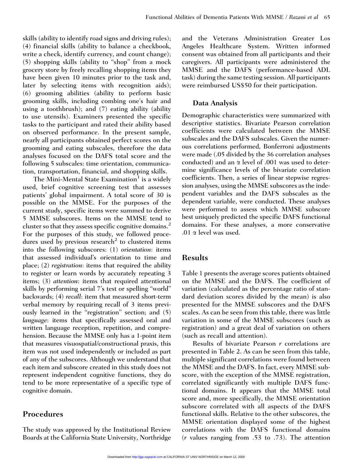skills (ability to identify road signs and driving rules); (4) financial skills (ability to balance a checkbook, write a check, identify currency, and count change); (5) shopping skills (ability to ''shop'' from a mock grocery store by freely recalling shopping items they have been given 10 minutes prior to the task and, later by selecting items with recognition aids); (6) grooming abilities (ability to perform basic grooming skills, including combing one's hair and using a toothbrush); and (7) eating ability (ability to use utensils). Examiners presented the specific tasks to the participant and rated their ability based on observed performance. In the present sample, nearly all participants obtained perfect scores on the grooming and eating subscales, therefore the data analyses focused on the DAFS total score and the following 5 subscales: time orientation, communication, transportation, financial, and shopping skills.

The Mini-Mental State Examination<sup>1</sup> is a widely used, brief cognitive screening test that assesses patients' global impairment. A total score of 30 is possible on the MMSE. For the purposes of the current study, specific items were summed to derive 5 MMSE subscores. Items on the MMSE tend to cluster so that they assess specific cognitive domains.<sup>2</sup> For the purposes of this study, we followed procedures used by previous research<sup>2</sup> to clustered items into the following subscores: (1) orientation: items that assessed individual's orientation to time and place; (2) registration: items that required the ability to register or learn words by accurately repeating 3 items; (3) attention: items that required attentional skills by performing serial 7's test or spelling ''world'' backwards; (4) recall: item that measured short-term verbal memory by requiring recall of 3 items previously learned in the "registration" section; and (5) language: items that specifically assessed oral and written language reception, repetition, and comprehension. Because the MMSE only has a 1-point item that measures visuospatial/constructional praxis, this item was not used independently or included as part of any of the subscores. Although we understand that each item and subscore created in this study does not represent independent cognitive functions, they do tend to be more representative of a specific type of cognitive domain.

# Procedures

The study was approved by the Institutional Review Boards at the California State University, Northridge and the Veterans Administration Greater Los Angeles Healthcare System. Written informed consent was obtained from all participants and their caregivers. All participants were administered the MMSE and the DAFS (performance-based ADL task) during the same testing session. All participants were reimbursed US\$50 for their participation.

#### Data Analysis

Demographic characteristics were summarized with descriptive statistics. Bivariate Pearson correlation coefficients were calculated between the MMSE subscales and the DAFS subscales. Given the numerous correlations performed, Bonferroni adjustments were made (.05 divided by the 36 correlation analyses conducted) and an  $\alpha$  level of .001 was used to determine significance levels of the bivariate correlation coefficients. Then, a series of linear stepwise regression analyses, using the MMSE subscores as the independent variables and the DAFS subscales as the dependent variable, were conducted. These analyses were performed to assess which MMSE subscore best uniquely predicted the specific DAFS functional domains. For these analyses, a more conservative  $.01 \alpha$  level was used.

# Results

Table 1 presents the average scores patients obtained on the MMSE and the DAFS. The coefficient of variation (calculated as the percentage ratio of standard deviation scores divided by the mean) is also presented for the MMSE subscores and the DAFS scales. As can be seen from this table, there was little variation in some of the MMSE subscores (such as registration) and a great deal of variation on others (such as recall and attention).

Results of bivariate Pearson  $r$  correlations are presented in Table 2. As can be seen from this table, multiple significant correlations were found between the MMSE and the DAFS. In fact, every MMSE subscore, with the exception of the MMSE registration, correlated significantly with multiple DAFS functional domains. It appears that the MMSE total score and, more specifically, the MMSE orientation subscore correlated with all aspects of the DAFS functional skills. Relative to the other subscores, the MMSE orientation displayed some of the highest correlations with the DAFS functional domains (r values ranging from .53 to .73). The attention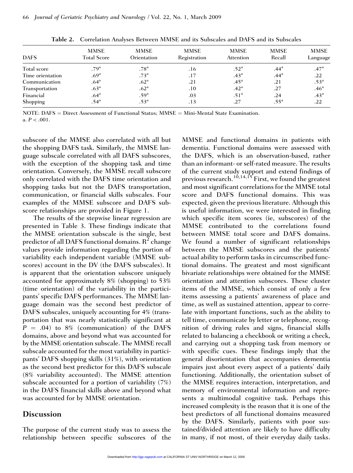| <b>DAFS</b>      | MMSE<br><b>Total Score</b> | MMSE<br>Orientation | MMSE<br>Registration | MMSE<br>Attention | <b>MMSE</b><br>Recall | MMSE<br>Language |
|------------------|----------------------------|---------------------|----------------------|-------------------|-----------------------|------------------|
| Total score      | .79 <sup>a</sup>           | .78 <sup>a</sup>    | .16                  | .52 <sup>a</sup>  | .44 <sup>a</sup>      | .47 <sup>a</sup> |
| Time orientation | .69 <sup>a</sup>           | .73 <sup>a</sup>    | .17                  | .43 <sup>a</sup>  | .44 <sup>a</sup>      | .22              |
| Communication    | .64 <sup>a</sup>           | .62 <sup>a</sup>    | .21                  | .45 <sup>a</sup>  | .21                   | .53 <sup>a</sup> |
| Transportation   | .63 <sup>a</sup>           | .62 <sup>a</sup>    | .10                  | .42 <sup>a</sup>  | .27                   | .46 <sup>a</sup> |
| Financial        | .64 <sup>a</sup>           | .59 <sup>a</sup>    | .03                  | .51 <sup>a</sup>  | .24                   | .43 <sup>a</sup> |
| Shopping         | .54 <sup>a</sup>           | .53 <sup>a</sup>    | .13                  | .27               | $.55^{\circ}$         | .22              |
|                  |                            |                     |                      |                   |                       |                  |

Table 2. Correlation Analyses Between MMSE and its Subscales and DAFS and its Subscales

NOTE: DAFS = Direct Assessment of Functional Status;  $MMSE = Mini-Mental State Examination$ .

a.  $P < .001$ .

subscore of the MMSE also correlated with all but the shopping DAFS task. Similarly, the MMSE language subscale correlated with all DAFS subscores, with the exception of the shopping task and time orientation. Conversely, the MMSE recall subscore only correlated with the DAFS time orientation and shopping tasks but not the DAFS transportation, communication, or financial skills subscales. Four examples of the MMSE subscore and DAFS subscore relationships are provided in Figure 1.

The results of the stepwise linear regression are presented in Table 3. These findings indicate that the MMSE orientation subscale is the single, best predictor of all DAFS functional domains.  $R^2$  change values provide information regarding the portion of variability each independent variable (MMSE subscores) account in the DV (the DAFS subscales). It is apparent that the orientation subscore uniquely accounted for approximately 8% (shopping) to 53% (time orientation) of the variability in the participants' specific DAFS performances. The MMSE language domain was the second best predictor of DAFS subscales, uniquely accounting for 4% (transportation that was nearly statistically significant at  $P = .04$ ) to 8% (communication) of the DAFS domains, above and beyond what was accounted for by the MMSE orientation subscale. The MMSE recall subscale accounted for the most variability in participants' DAFS shopping skills (31%), with orientation as the second best predictor for this DAFS subscale (8% variability accounted). The MMSE attention subscale accounted for a portion of variability (7%) in the DAFS financial skills above and beyond what was accounted for by MMSE orientation.

#### **Discussion**

The purpose of the current study was to assess the relationship between specific subscores of the

MMSE and functional domains in patients with dementia. Functional domains were assessed with the DAFS, which is an observation-based, rather than an informant- or self-rated measure. The results of the current study support and extend findings of previous research.<sup>10,14,15</sup> First, we found the greatest and most significant correlations for the MMSE total score and DAFS functional domains. This was expected, given the previous literature. Although this is useful information, we were interested in finding which specific item scores (ie, subscores) of the MMSE contributed to the correlations found between MMSE total score and DAFS domains. We found a number of significant relationships between the MMSE subscores and the patients' actual ability to perform tasks in circumscribed functional domains. The greatest and most significant bivariate relationships were obtained for the MMSE orientation and attention subscores. These cluster items of the MMSE, which consist of only a few items assessing a patients' awareness of place and time, as well as sustained attention, appear to correlate with important functions, such as the ability to tell time, communicate by letter or telephone, recognition of driving rules and signs, financial skills related to balancing a checkbook or writing a check, and carrying out a shopping task from memory or with specific cues. These findings imply that the general disorientation that accompanies dementia impairs just about every aspect of a patients' daily functioning. Additionally, the orientation subset of the MMSE requires interaction, interpretation, and memory of environmental information and represents a multimodal cognitive task. Perhaps this increased complexity is the reason that it is one of the best predictors of all functional domains measured by the DAFS. Similarly, patients with poor sustained/divided attention are likely to have difficulty in many, if not most, of their everyday daily tasks.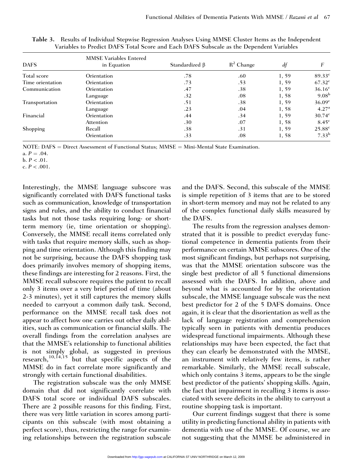| <b>DAFS</b>      | <b>MMSE Variables Entered</b><br>in Equation | Standardized $\beta$ | $R^2$ Change | df   |                    |
|------------------|----------------------------------------------|----------------------|--------------|------|--------------------|
| Total score      | Orientation                                  | .78                  | .60          | 1,59 | $89.33^{\circ}$    |
| Time orientation | Orientation                                  | .73                  | .53          | 1,59 | $67.32^{\circ}$    |
| Communication    | Orientation                                  | .47                  | .38          | 1,59 | $36.16^c$          |
|                  | Language                                     | .32 <sub>1</sub>     | .08          | 1,58 | 9.08 <sup>b</sup>  |
| Transportation   | Orientation                                  | .51                  | .38          | 1,59 | 36.09 <sup>c</sup> |
|                  | Language                                     | .23                  | .04          | 1,58 | 4.27 <sup>a</sup>  |
| Financial        | Orientation                                  | .44                  | .34          | 1,59 | $30.74^{\circ}$    |
|                  | Attention                                    | .30                  | .07          | 1,58 | $8.45^{\circ}$     |
| Shopping         | Recall                                       | .38                  | .31          | 1,59 | $25.88^{\circ}$    |
|                  | Orientation                                  | .33                  | .08          | 1,58 | $7.33^{b}$         |

Table 3. Results of Individual Stepwise Regression Analyses Using MMSE Cluster Items as the Independent Variables to Predict DAFS Total Score and Each DAFS Subscale as the Dependent Variables

 $\text{NOTE: DAFS} = \text{Direct Assessment of Functional Status: MMSE} = \text{Mini-Mental State Examination}.$ 

 $b. P < .01.$ 

c.  $P < .001$ .

Interestingly, the MMSE language subscore was significantly correlated with DAFS functional tasks such as communication, knowledge of transportation signs and rules, and the ability to conduct financial tasks but not those tasks requiring long- or shortterm memory (ie, time orientation or shopping). Conversely, the MMSE recall items correlated only with tasks that require memory skills, such as shopping and time orientation. Although this finding may not be surprising, because the DAFS shopping task does primarily involves memory of shopping items, these findings are interesting for 2 reasons. First, the MMSE recall subscore requires the patient to recall only 3 items over a very brief period of time (about 2-3 minutes), yet it still captures the memory skills needed to carryout a common daily task. Second, performance on the MMSE recall task does not appear to affect how one carries out other daily abilities, such as communication or financial skills. The overall findings from the correlation analyses are that the MMSE's relationship to functional abilities is not simply global, as suggested in previous research,<sup>10,14,15</sup> but that specific aspects of the MMSE do in fact correlate more significantly and strongly with certain functional disabilities.

The registration subscale was the only MMSE domain that did not significantly correlate with DAFS total score or individual DAFS subscales. There are 2 possible reasons for this finding. First, there was very little variation in scores among participants on this subscale (with most obtaining a perfect score), thus, restricting the range for examining relationships between the registration subscale

and the DAFS. Second, this subscale of the MMSE is simple repetition of 3 items that are to be stored in short-term memory and may not be related to any of the complex functional daily skills measured by the DAFS.

The results from the regression analyses demonstrated that it is possible to predict everyday functional competence in dementia patients from their performance on certain MMSE subscores. One of the most significant findings, but perhaps not surprising, was that the MMSE orientation subscore was the single best predictor of all 5 functional dimensions assessed with the DAFS. In addition, above and beyond what is accounted for by the orientation subscale, the MMSE language subscale was the next best predictor for 2 of the 5 DAFS domains. Once again, it is clear that the disorientation as well as the lack of language registration and comprehension typically seen in patients with dementia produces widespread functional impairments. Although these relationships may have been expected, the fact that they can clearly be demonstrated with the MMSE, an instrument with relatively few items, is rather remarkable. Similarly, the MMSE recall subscale, which only contains 3 items, appears to be the single best predictor of the patients' shopping skills. Again, the fact that impairment in recalling 3 items is associated with severe deficits in the ability to carryout a routine shopping task is important.

Our current findings suggest that there is some utility in predicting functional ability in patients with dementia with use of the MMSE. Of course, we are not suggesting that the MMSE be administered in

a.  $P = .04$ .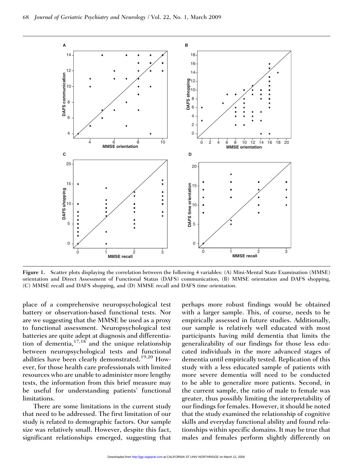

Figure 1. Scatter plots displaying the correlation between the following 4 variables: (A) Mini-Mental State Examination (MMSE) orientation and Direct Assessment of Functional Status (DAFS) communication, (B) MMSE orientation and DAFS shopping, (C) MMSE recall and DAFS shopping, and (D) MMSE recall and DAFS time orientation.

place of a comprehensive neuropsychological test battery or observation-based functional tests. Nor are we suggesting that the MMSE be used as a proxy to functional assessment. Neuropsychological test batteries are quite adept at diagnosis and differentiation of dementia,  $17,18$  and the unique relationship between neuropsychological tests and functional abilities have been clearly demonstrated.19,20 However, for those health care professionals with limited resources who are unable to administer more lengthy tests, the information from this brief measure may be useful for understanding patients' functional limitations.

There are some limitations in the current study that need to be addressed. The first limitation of our study is related to demographic factors. Our sample size was relatively small. However, despite this fact, significant relationships emerged, suggesting that

perhaps more robust findings would be obtained with a larger sample. This, of course, needs to be empirically assessed in future studies. Additionally, our sample is relatively well educated with most participants having mild dementia that limits the generalizability of our findings for those less educated individuals in the more advanced stages of dementia until empirically tested. Replication of this study with a less educated sample of patients with more severe dementia will need to be conducted to be able to generalize more patients. Second, in the current sample, the ratio of male to female was greater, thus possibly limiting the interpretability of our findings for females. However, it should be noted that the study examined the relationship of cognitive skills and everyday functional ability and found relationships within specific domains. It may be true that males and females perform slightly differently on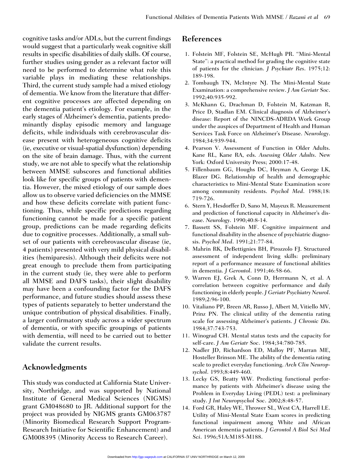cognitive tasks and/or ADLs, but the current findings would suggest that a particularly weak cognitive skill results in specific disabilities of daily skills. Of course, further studies using gender as a relevant factor will need to be performed to determine what role this variable plays in mediating these relationships. Third, the current study sample had a mixed etiology of dementia. We know from the literature that different cognitive processes are affected depending on the dementia patient's etiology. For example, in the early stages of Alzheimer's dementia, patients predominantly display episodic memory and language deficits, while individuals with cerebrovascular disease present with heterogeneous cognitive deficits (ie, executive or visual-spatial dysfunction) depending on the site of brain damage. Thus, with the current study, we are not able to specify what the relationship between MMSE subscores and functional abilities look like for specific groups of patients with dementia. However, the mixed etiology of our sample does allow us to observe varied deficiencies on the MMSE and how these deficits correlate with patient functioning. Thus, while specific predictions regarding functioning cannot be made for a specific patient group, predictions can be made regarding deficits due to cognitive processes. Additionally, a small subset of our patients with cerebrovascular disease (ie, 4 patients) presented with very mild physical disabilities (hemiparesis). Although their deficits were not great enough to preclude them from participating in the current study (ie, they were able to perform all MMSE and DAFS tasks), their slight disability may have been a confounding factor for the DAFS performance, and future studies should assess these types of patients separately to better understand the unique contribution of physical disabilities. Finally, a larger confirmatory study across a wider spectrum of dementia, or with specific groupings of patients with dementia, will need to be carried out to better validate the current results.

# Acknowledgments

This study was conducted at California State University, Northridge, and was supported by National Institute of General Medical Sciences (NIGMS) grant GM048680 to JR. Additional support for the project was provided by NIGMS grants GM063787 (Minority Biomedical Research Support Program-Research Initiative for Scientific Enhancement) and GM008395 (Minority Access to Research Career).

# References

- 1. Folstein MF, Folstein SE, McHugh PR. ''Mini-Mental State'': a practical method for grading the cognitive state of patients for the clinician. J Psychiatr Res. 1975;12: 189-198.
- 2. Tombaugh TN, McIntyre NJ. The Mini-Mental State Examination: a comprehensive review. J Am Geriatr Soc. 1992;40:935-992.
- 3. McKhann G, Drachman D, Folstein M, Katzman R, Price D, Stadlan EM. Clinical diagnosis of Alzheimer's disease: Report of the NINCDS-ADRDA Work Group under the auspices of Department of Health and Human Services Task Force on Alzheimer's Disease. Neurology. 1984;34:939-944.
- 4. Pearson V. Assessment of Function in Older Adults. Kane RL, Kane RA, eds. Assessing Older Adults. New York: Oxford University Press; 2000:17-48.
- 5. Fillenbaum GG, Houghs DC, Heyman A, George LK, Blazer DG. Relationship of health and demographic characteristics to Mini-Mental State Examination score among community residents. Psychol Med. 1988;18: 719-726.
- 6. Stern Y, Hesdorffer D, Sano M, Mayeux R. Measurement and prediction of functional capacity in Alzheimer's disease. Neurology. 1990;40:8-14.
- 7. Bassett SS, Folstein MF. Cognitive impairment and functional disability in the absence of psychiatric diagnosis. Psychol Med. 1991;21:77-84.
- 8. Mahrin RK, DeBettignies BH, Pirozzolo FJ. Structured assessment of independent living skills: preliminary report of a performance measure of functional abilities in dementia. J Gerontol. 1991;46:58-66.
- 9. Warren EJ, Grek A, Conn D, Herrmann N, et al. A correlation between cognitive performance and daily functioning in elderly people. J Geriatr Psychiatry Neurol. 1989;2:96-100.
- 10. Vitaliano PP, Breen AR, Russo J, Albert M, Vitiello MV, Prinz PN. The clinical utility of the dementia rating scale for assessing Alzheimer's patients. J Chronic Dis. 1984;37:743-753.
- 11. Winograd CH. Mental status tests and the capacity for self-care. J Am Geriatr Soc. 1984;34:780-785.
- 12. Nadler JD, Richardson ED, Malloy PF, Marran ME, Hosteller Brinson ME. The ability of the dementia rating scale to predict everyday functioning. Arch Clin Neuropsychol. 1993;8:449-460.
- 13. Lecky GS, Beatty WW. Predicting functional performance by patients with Alzheimer's disease using the Problem in Everyday Living (PEDL) test: a preliminary study. J Int Neuropsychol Soc. 2002;8:48-57.
- 14. Ford GR, Haley WE, Thrower SL, West CA, Harrell LE. Utility of Mini-Mental State Exam scores in predicting functional impairment among White and African American dementia patients. J Gerontol A Biol Sci Med Sci. 1996;51A:M185-M188.